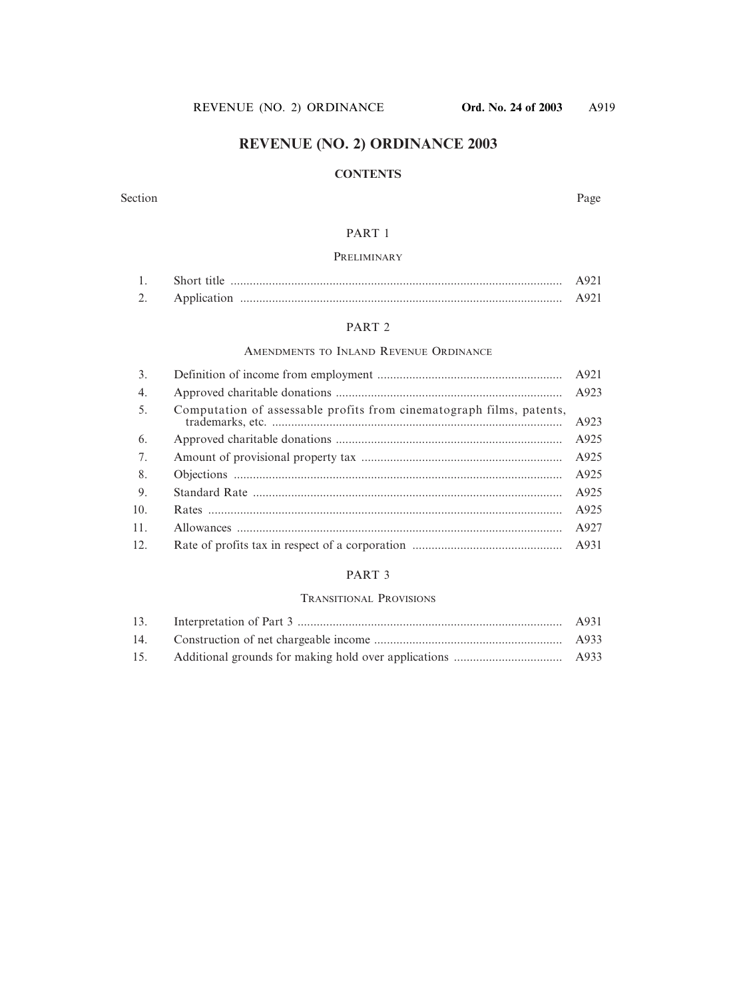## **REVENUE (NO. 2) ORDINANCE 2003**

#### **CONTENTS**

#### Section Page

#### PART 1

#### **PRELIMINARY**

|          | Short title |  |
|----------|-------------|--|
| <u>.</u> | Application |  |

#### PART 2

#### AMENDMENTS TO INLAND REVENUE ORDINANCE

| 3.  |                                                                      |      |
|-----|----------------------------------------------------------------------|------|
| 4.  |                                                                      |      |
| 5.  | Computation of assessable profits from cinematograph films, patents, | A923 |
| 6.  |                                                                      | A925 |
| 7.  |                                                                      | A925 |
| 8.  |                                                                      | A925 |
| 9.  |                                                                      | A925 |
| 10. |                                                                      | A925 |
| 11. |                                                                      | A927 |
| 12. |                                                                      |      |

#### PART 3

#### TRANSITIONAL PROVISIONS

| 13. |  |
|-----|--|
|     |  |
| 15. |  |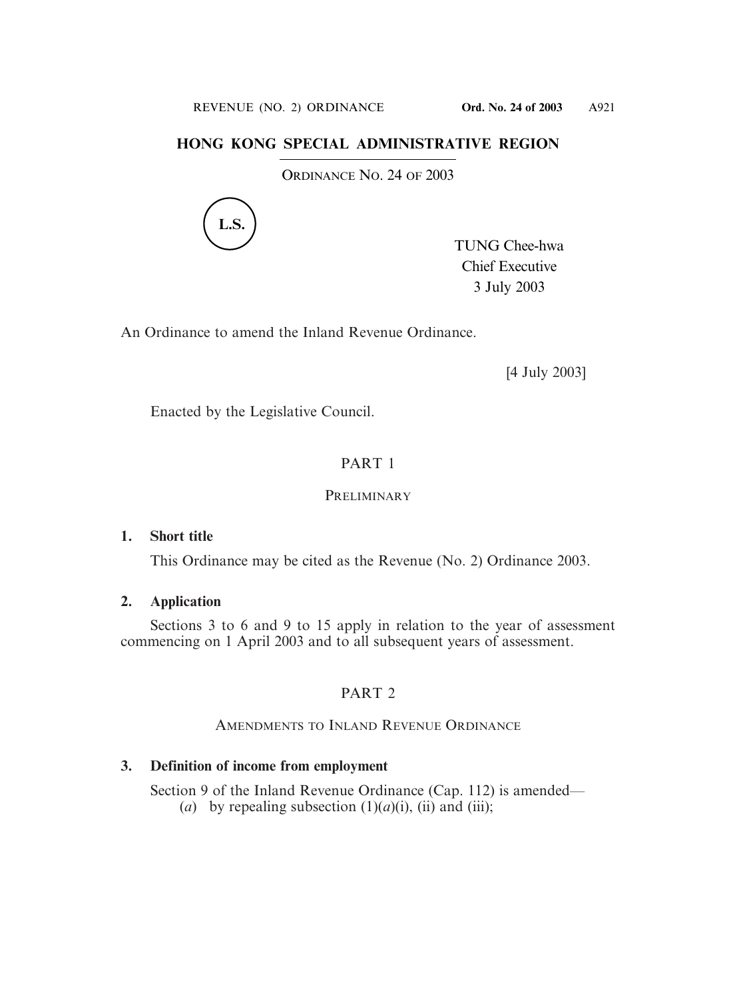## **HONG KONG SPECIAL ADMINISTRATIVE REGION**

ORDINANCE NO. 24 OF 2003



TUNG Chee-hwa Chief Executive 3 July 2003

An Ordinance to amend the Inland Revenue Ordinance.

[4 July 2003]

Enacted by the Legislative Council.

# PART 1

### **PRELIMINARY**

## **1. Short title**

This Ordinance may be cited as the Revenue (No. 2) Ordinance 2003.

## **2. Application**

Sections 3 to 6 and 9 to 15 apply in relation to the year of assessment commencing on 1 April 2003 and to all subsequent years of assessment.

# PART 2

## AMENDMENTS TO INLAND REVENUE ORDINANCE

## **3. Definition of income from employment**

Section 9 of the Inland Revenue Ordinance (Cap. 112) is amended— (*a*) by repealing subsection  $(1)(a)(i)$ , (ii) and (iii);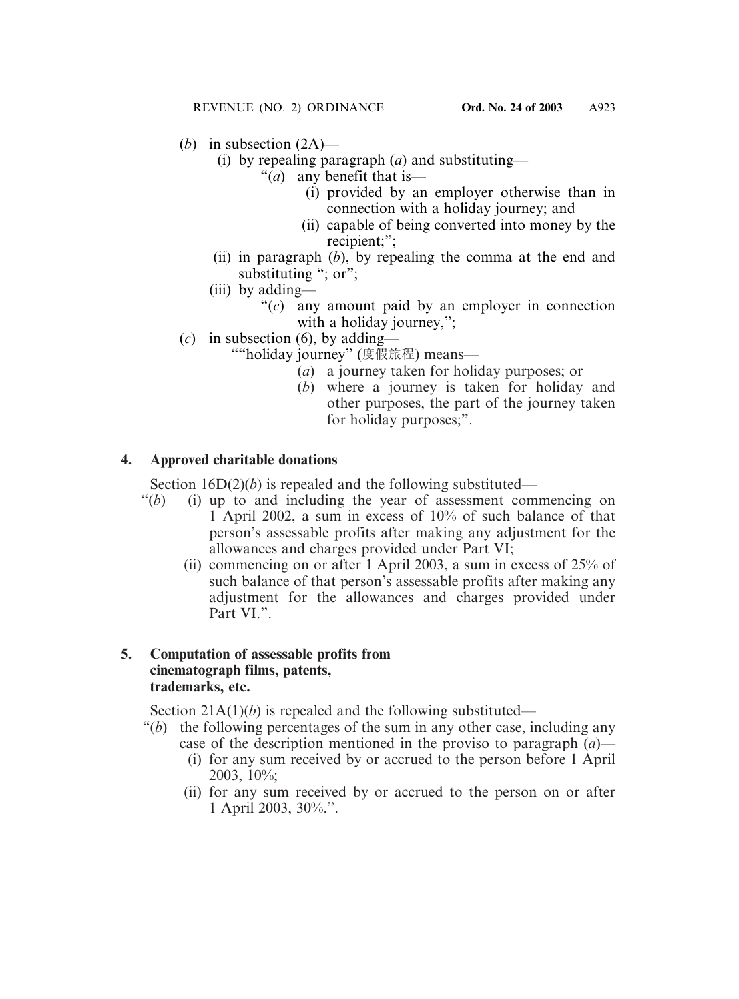- (*b*) in subsection (2A)—
	- (i) by repealing paragraph (*a*) and substituting—
		- "(*a*) any benefit that is—
			- (i) provided by an employer otherwise than in connection with a holiday journey; and
			- (ii) capable of being converted into money by the recipient;":
	- (ii) in paragraph (*b*), by repealing the comma at the end and substituting "; or";
	- (iii) by adding—
		- "(*c*) any amount paid by an employer in connection with a holiday journey,";
- (*c*) in subsection (6), by adding—
	- ""holiday journey" (度假旅程) means—
		- (*a*) a journey taken for holiday purposes; or
			- (*b*) where a journey is taken for holiday and other purposes, the part of the journey taken for holiday purposes;".

## **4. Approved charitable donations**

Section 16D(2)(*b*) is repealed and the following substituted—

- $f(b)$  (i) up to and including the year of assessment commencing on 1 April 2002, a sum in excess of 10% of such balance of that person's assessable profits after making any adjustment for the allowances and charges provided under Part VI;
	- (ii) commencing on or after 1 April 2003, a sum in excess of 25% of such balance of that person's assessable profits after making any adjustment for the allowances and charges provided under Part VI.".

## **5. Computation of assessable profits from cinematograph films, patents, trademarks, etc.**

Section 21A(1)(*b*) is repealed and the following substituted—

- "(*b*) the following percentages of the sum in any other case, including any case of the description mentioned in the proviso to paragraph (*a*)—
	- (i) for any sum received by or accrued to the person before 1 April 2003, 10%;
	- (ii) for any sum received by or accrued to the person on or after 1 April 2003, 30%.".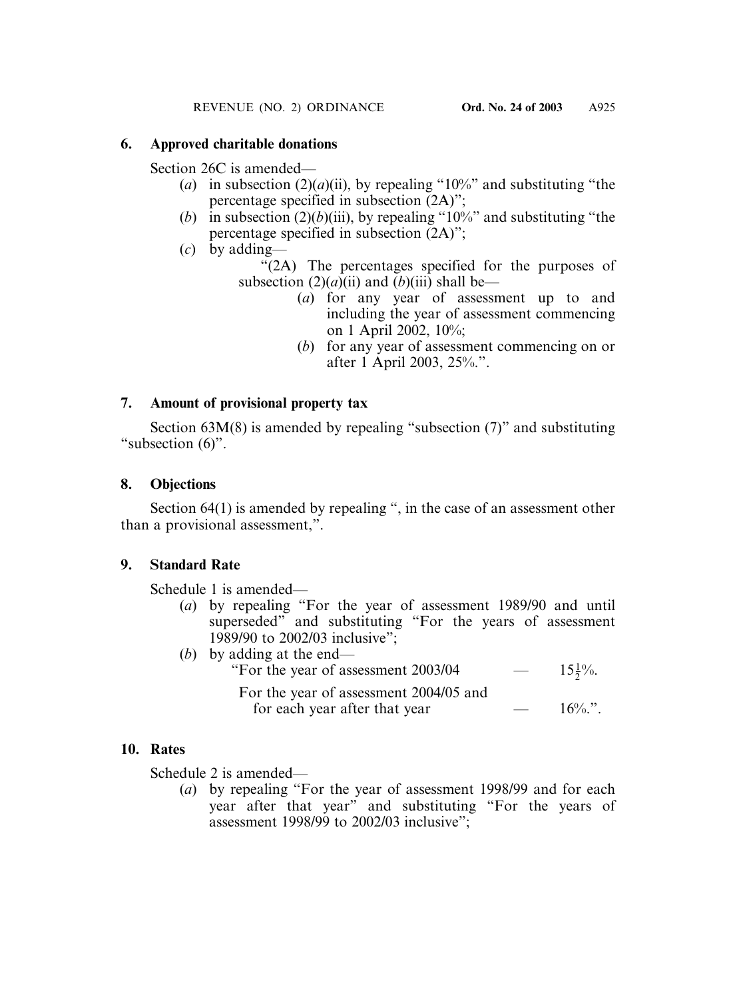### **6. Approved charitable donations**

Section 26C is amended—

- (*a*) in subsection (2)(*a*)(ii), by repealing "10%" and substituting "the percentage specified in subsection (2A)";
- (*b*) in subsection (2)(*b*)(iii), by repealing "10%" and substituting "the percentage specified in subsection (2A)";
- (*c*) by adding—

 $\sqrt{2}$ (2A) The percentages specified for the purposes of subsection  $(2)(a)$ (ii) and  $(b)$ (iii) shall be—

- (*a*) for any year of assessment up to and including the year of assessment commencing on 1 April 2002, 10%;
- (*b*) for any year of assessment commencing on or after 1 April 2003, 25%.".

# **7. Amount of provisional property tax**

Section 63M(8) is amended by repealing "subsection (7)" and substituting "subsection (6)".

# **8. Objections**

Section 64(1) is amended by repealing ", in the case of an assessment other than a provisional assessment,".

# **9. Standard Rate**

Schedule 1 is amended—

(*a*) by repealing "For the year of assessment 1989/90 and until superseded" and substituting "For the years of assessment 1989/90 to 2002/03 inclusive";

| (b) by adding at the end—              |                          |                     |
|----------------------------------------|--------------------------|---------------------|
| "For the year of assessment 2003/04    | $\overline{\phantom{a}}$ | $15\frac{1}{2}\%$ . |
| For the year of assessment 2004/05 and |                          |                     |
| for each year after that year          |                          | $16\%$ ."           |

## **10. Rates**

Schedule 2 is amended—

(*a*) by repealing "For the year of assessment 1998/99 and for each year after that year" and substituting "For the years of assessment 1998/99 to 2002/03 inclusive";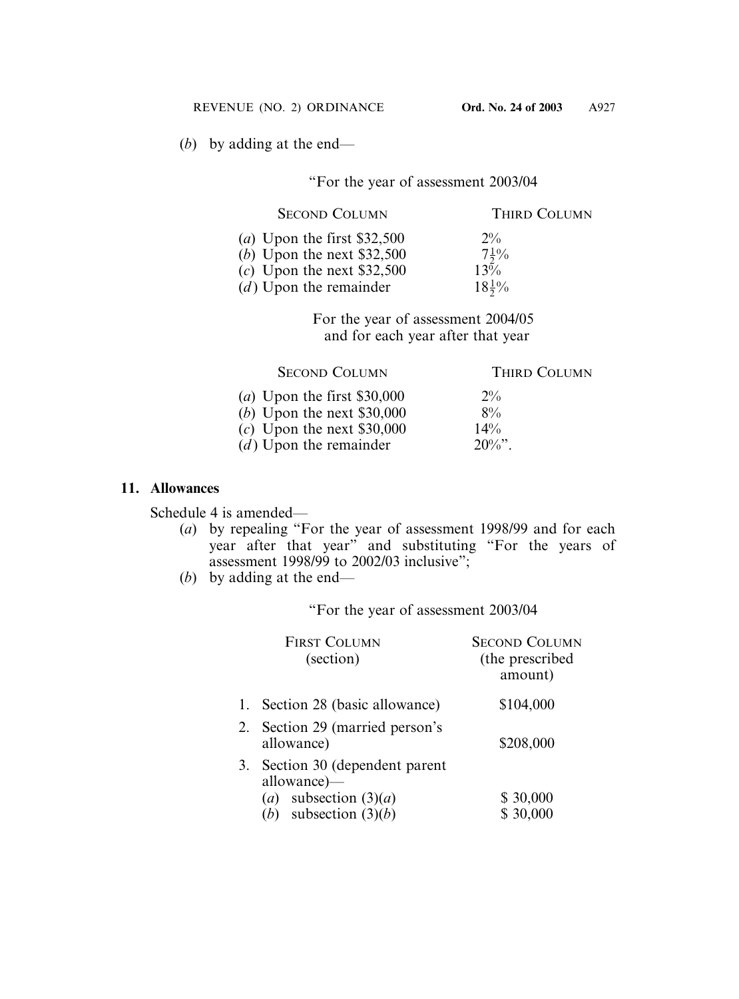(*b*) by adding at the end—

"For the year of assessment 2003/04

SECOND COLUMN THIRD COLUMN

| (a) Upon the first $$32,500$ | $2\%$             |
|------------------------------|-------------------|
| (b) Upon the next $$32,500$  | $7\frac{1}{2}\%$  |
| (c) Upon the next $$32,500$  | 13%               |
| $(d)$ Upon the remainder     | $18\frac{1}{2}\%$ |

For the year of assessment 2004/05 and for each year after that year

SECOND COLUMN THIRD COLUMN

| (a) Upon the first $$30,000$ | $2\%$      |
|------------------------------|------------|
| (b) Upon the next $$30,000$  | $8\%$      |
| (c) Upon the next $$30,000$  | $14\%$     |
| $(d)$ Upon the remainder     | $20\%^"$ . |

#### **11. Allowances**

Schedule 4 is amended—

- (*a*) by repealing "For the year of assessment 1998/99 and for each year after that year" and substituting "For the years of assessment 1998/99 to 2002/03 inclusive";
- (*b*) by adding at the end—

"For the year of assessment 2003/04

|    | <b>FIRST COLUMN</b><br>(section)               | <b>SECOND COLUMN</b><br>(the prescribed<br>amount) |
|----|------------------------------------------------|----------------------------------------------------|
| 1. | Section 28 (basic allowance)                   | \$104,000                                          |
| 2. | Section 29 (married person's<br>allowance)     | \$208,000                                          |
| 3. | Section 30 (dependent parent<br>allowance)—    |                                                    |
|    | (a) subsection $(3)(a)$<br>subsection $(3)(b)$ | \$30,000<br>\$30,000                               |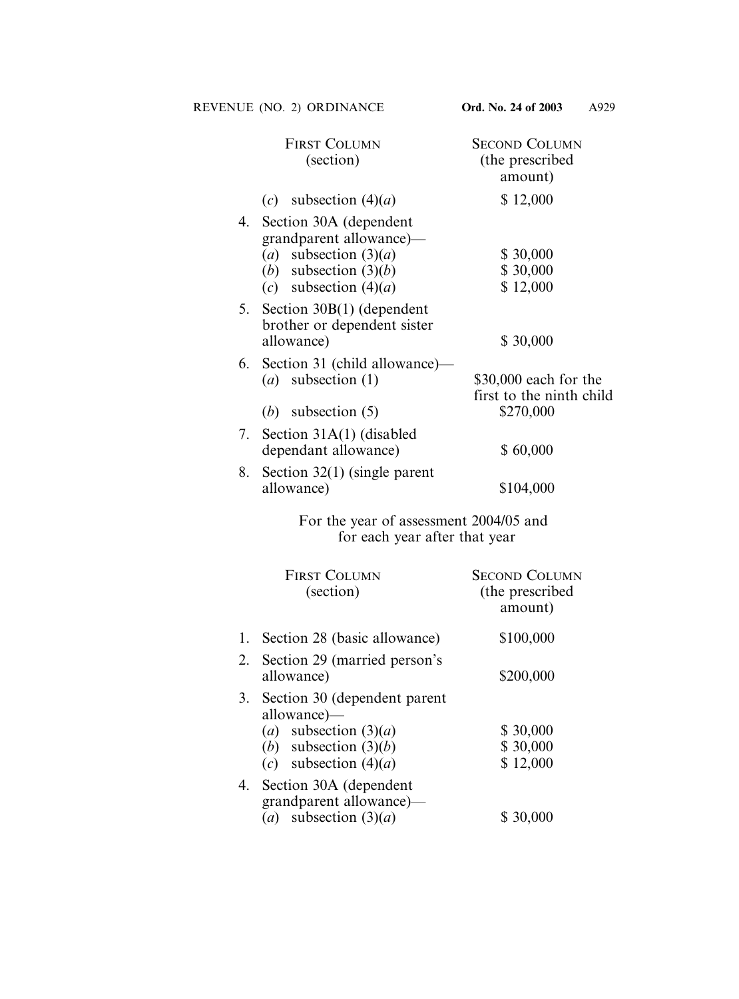|    | <b>FIRST COLUMN</b><br>(section)                                                                                                   | <b>SECOND COLUMN</b><br>(the prescribed<br>amount) |
|----|------------------------------------------------------------------------------------------------------------------------------------|----------------------------------------------------|
|    | (c) subsection $(4)(a)$                                                                                                            | \$12,000                                           |
| 4. | Section 30A (dependent<br>grandparent allowance)—<br>(a) subsection $(3)(a)$<br>(b) subsection $(3)(b)$<br>(c) subsection $(4)(a)$ | \$30,000<br>\$30,000<br>\$12,000                   |
| 5. | Section $30B(1)$ (dependent<br>brother or dependent sister                                                                         |                                                    |
|    | allowance)                                                                                                                         | \$30,000                                           |
| 6. | Section 31 (child allowance)<br>( <i>a</i> ) subsection $(1)$                                                                      | \$30,000 each for the<br>first to the ninth child  |
|    | (b) subsection $(5)$                                                                                                               | \$270,000                                          |
| 7. | Section $31A(1)$ (disabled<br>dependant allowance)                                                                                 | \$60,000                                           |
| 8. | Section $32(1)$ (single parent<br>allowance)                                                                                       | \$104,000                                          |
|    | For the year of assessment 2004/05 and<br>for each year after that year                                                            |                                                    |
|    | <b>FIRST COLUMN</b><br>(section)                                                                                                   | <b>SECOND COLUMN</b><br>(the prescribed<br>amount) |
| 1. | Section 28 (basic allowance)                                                                                                       | \$100,000                                          |
| 2. | Section 29 (married person's<br>allowance)                                                                                         | \$200,000                                          |
| 3. | Section 30 (dependent parent<br>allowance)-                                                                                        |                                                    |
|    | (a) subsection $(3)(a)$                                                                                                            | \$30,000                                           |
|    | (b) subsection $(3)(b)$                                                                                                            | \$30,000                                           |
|    | (c) subsection $(4)(a)$                                                                                                            | \$12,000                                           |
| 4. | Section 30A (dependent<br>grandparent allowance)-                                                                                  |                                                    |
|    | subsection $(3)(a)$<br>(a)                                                                                                         | \$30,000                                           |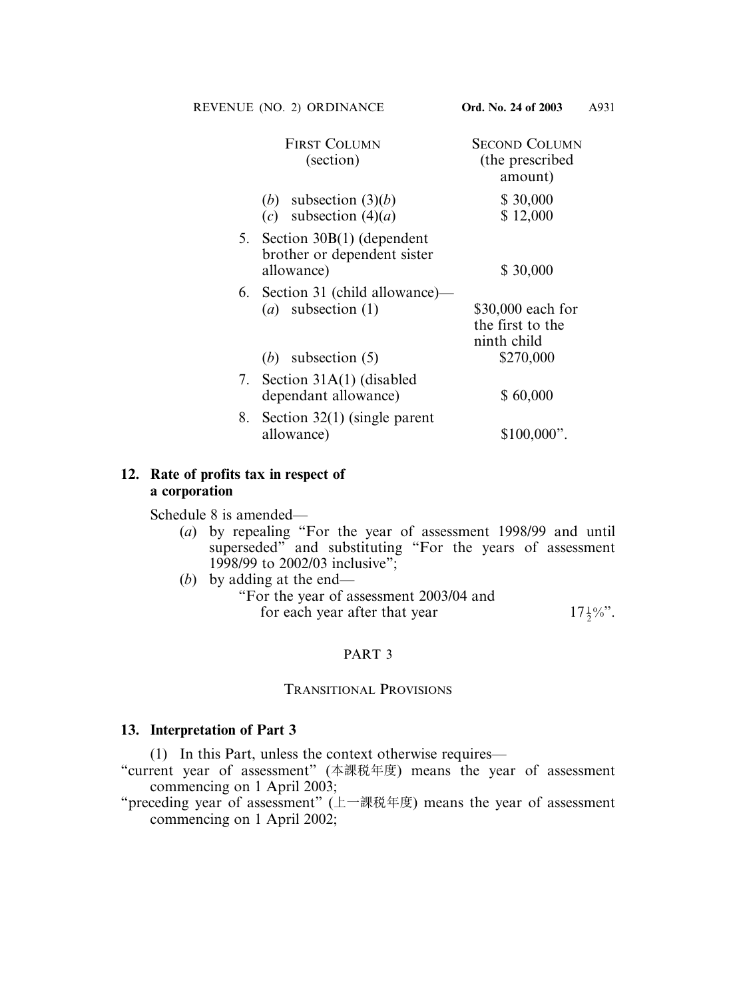|    | <b>FIRST COLUMN</b><br>(section)                                                          | <b>SECOND COLUMN</b><br>(the prescribed<br>amount)                |
|----|-------------------------------------------------------------------------------------------|-------------------------------------------------------------------|
|    | (b) subsection $(3)(b)$<br>(c) subsection $(4)(a)$                                        | \$30,000<br>\$12,000                                              |
|    | 5. Section 30B(1) (dependent<br>brother or dependent sister<br>allowance)                 | \$30,000                                                          |
|    | 6. Section 31 (child allowance)—<br>( <i>a</i> ) subsection $(1)$<br>(b) subsection $(5)$ | \$30,000 each for<br>the first to the<br>ninth child<br>\$270,000 |
|    | 7. Section 31A(1) (disabled<br>dependant allowance)                                       | \$60,000                                                          |
| 8. | Section $32(1)$ (single parent<br>allowance)                                              | $$100,000$ ".                                                     |

### **12. Rate of profits tax in respect of a corporation**

Schedule 8 is amended—

(*a*) by repealing "For the year of assessment 1998/99 and until superseded" and substituting "For the years of assessment 1998/99 to 2002/03 inclusive";

(*b*) by adding at the end—

"For the year of assessment 2003/04 and for each year after that year

 $17\frac{1}{2}\%$ ".

#### PART 3

#### TRANSITIONAL PROVISIONS

#### **13. Interpretation of Part 3**

(1) In this Part, unless the context otherwise requires—

- "current year of assessment" (本課稅年度) means the year of assessment commencing on 1 April 2003;
- "preceding year of assessment" (上一課稅年度) means the year of assessment commencing on 1 April 2002;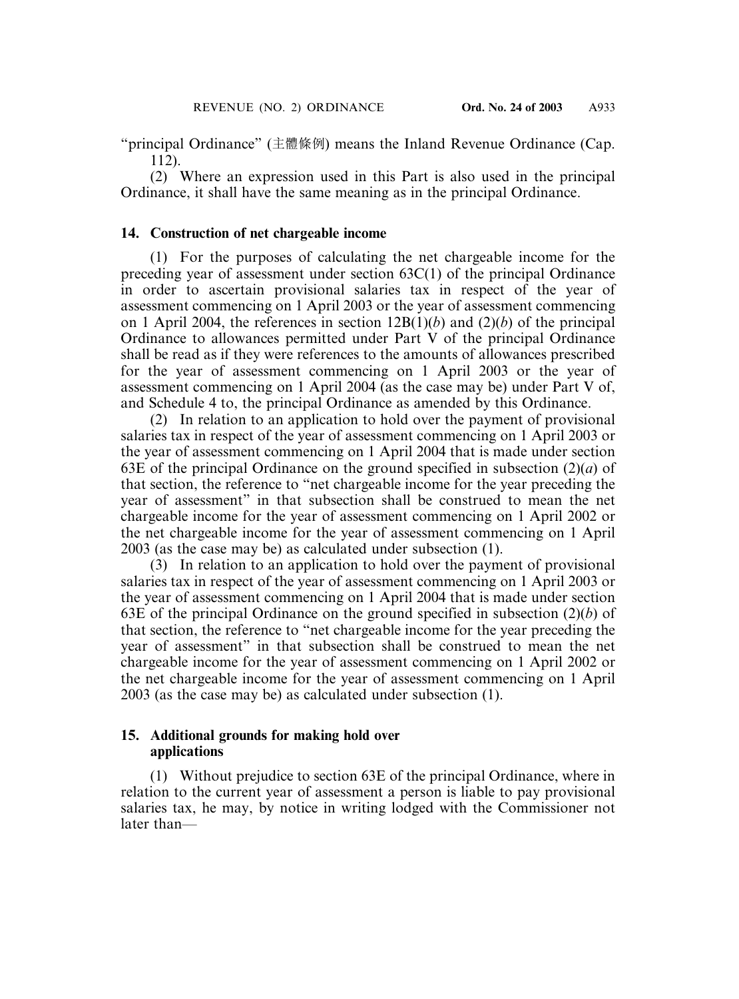"principal Ordinance" (主體條例) means the Inland Revenue Ordinance (Cap. 112).

(2) Where an expression used in this Part is also used in the principal Ordinance, it shall have the same meaning as in the principal Ordinance.

#### **14. Construction of net chargeable income**

(1) For the purposes of calculating the net chargeable income for the preceding year of assessment under section 63C(1) of the principal Ordinance in order to ascertain provisional salaries tax in respect of the year of assessment commencing on 1 April 2003 or the year of assessment commencing on 1 April 2004, the references in section 12B(1)(*b*) and (2)(*b*) of the principal Ordinance to allowances permitted under Part V of the principal Ordinance shall be read as if they were references to the amounts of allowances prescribed for the year of assessment commencing on 1 April 2003 or the year of assessment commencing on 1 April 2004 (as the case may be) under Part V of, and Schedule 4 to, the principal Ordinance as amended by this Ordinance.

(2) In relation to an application to hold over the payment of provisional salaries tax in respect of the year of assessment commencing on 1 April 2003 or the year of assessment commencing on 1 April 2004 that is made under section 63E of the principal Ordinance on the ground specified in subsection (2)(*a*) of that section, the reference to "net chargeable income for the year preceding the year of assessment" in that subsection shall be construed to mean the net chargeable income for the year of assessment commencing on 1 April 2002 or the net chargeable income for the year of assessment commencing on 1 April 2003 (as the case may be) as calculated under subsection (1).

(3) In relation to an application to hold over the payment of provisional salaries tax in respect of the year of assessment commencing on 1 April 2003 or the year of assessment commencing on 1 April 2004 that is made under section 63E of the principal Ordinance on the ground specified in subsection (2)(*b*) of that section, the reference to "net chargeable income for the year preceding the year of assessment" in that subsection shall be construed to mean the net chargeable income for the year of assessment commencing on 1 April 2002 or the net chargeable income for the year of assessment commencing on 1 April 2003 (as the case may be) as calculated under subsection (1).

#### **15. Additional grounds for making hold over applications**

(1) Without prejudice to section 63E of the principal Ordinance, where in relation to the current year of assessment a person is liable to pay provisional salaries tax, he may, by notice in writing lodged with the Commissioner not later than—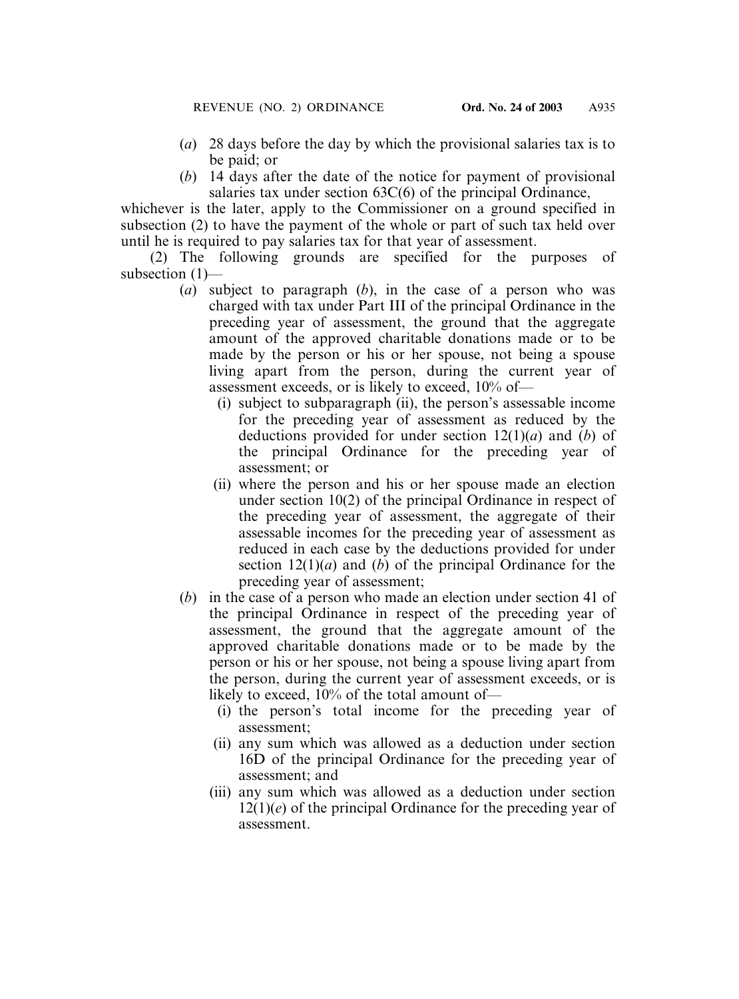- (*a*) 28 days before the day by which the provisional salaries tax is to be paid; or
- (*b*) 14 days after the date of the notice for payment of provisional salaries tax under section 63C(6) of the principal Ordinance,

whichever is the later, apply to the Commissioner on a ground specified in subsection (2) to have the payment of the whole or part of such tax held over until he is required to pay salaries tax for that year of assessment.

(2) The following grounds are specified for the purposes of subsection (1)—

- (*a*) subject to paragraph (*b*), in the case of a person who was charged with tax under Part III of the principal Ordinance in the preceding year of assessment, the ground that the aggregate amount of the approved charitable donations made or to be made by the person or his or her spouse, not being a spouse living apart from the person, during the current year of assessment exceeds, or is likely to exceed, 10% of—
	- (i) subject to subparagraph (ii), the person's assessable income for the preceding year of assessment as reduced by the deductions provided for under section 12(1)(*a*) and (*b*) of the principal Ordinance for the preceding year of assessment; or
	- (ii) where the person and his or her spouse made an election under section 10(2) of the principal Ordinance in respect of the preceding year of assessment, the aggregate of their assessable incomes for the preceding year of assessment as reduced in each case by the deductions provided for under section 12(1)(*a*) and (*b*) of the principal Ordinance for the preceding year of assessment;
- (*b*) in the case of a person who made an election under section 41 of the principal Ordinance in respect of the preceding year of assessment, the ground that the aggregate amount of the approved charitable donations made or to be made by the person or his or her spouse, not being a spouse living apart from the person, during the current year of assessment exceeds, or is likely to exceed, 10% of the total amount of—
	- (i) the person's total income for the preceding year of assessment;
	- (ii) any sum which was allowed as a deduction under section 16D of the principal Ordinance for the preceding year of assessment; and
	- (iii) any sum which was allowed as a deduction under section 12(1)(*e*) of the principal Ordinance for the preceding year of assessment.